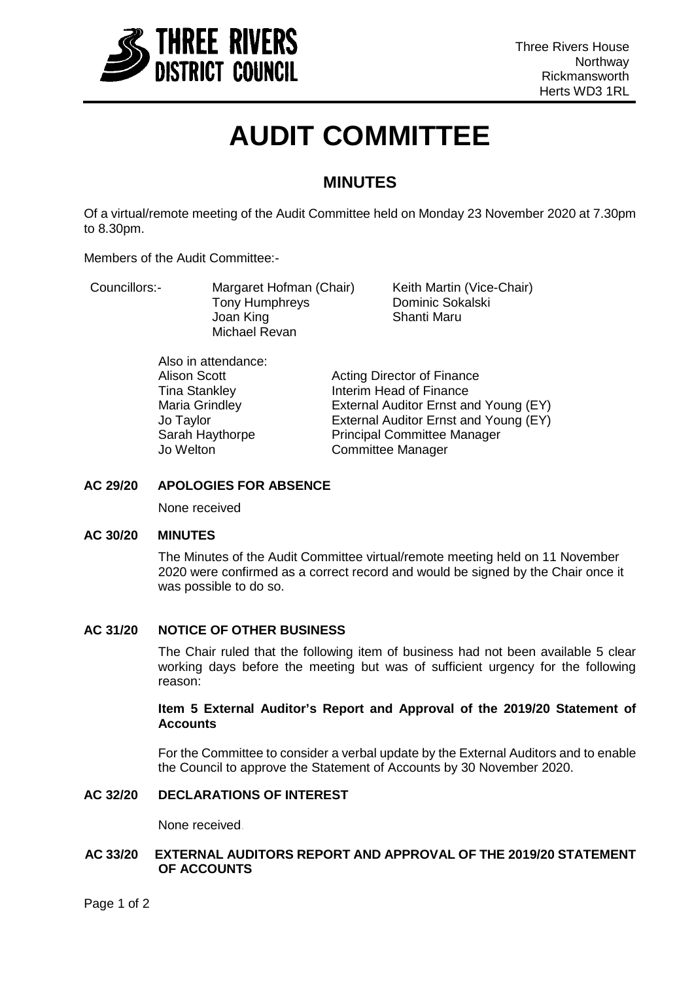

# **AUDIT COMMITTEE**

# **MINUTES**

Of a virtual/remote meeting of the Audit Committee held on Monday 23 November 2020 at 7.30pm to 8.30pm.

Members of the Audit Committee:-

| Councillors:- | Margaret Hofman (Chair)<br>Tony Humphreys<br>Joan King<br>Michael Revan | Keith Martin (Vice-Chair)<br>Dominic Sokalski<br>Shanti Maru |
|---------------|-------------------------------------------------------------------------|--------------------------------------------------------------|
|               |                                                                         |                                                              |

Also in attendance:

Alison Scott **Acting Director of Finance**<br>
Tina Stankley **Acting Director of Finance** Tina Stankley **Interim Head of Finance**<br> **Interim Head of Finance**<br> **Internal Auditor Ernst are External Auditor Ernst are** External Auditor Ernst and Young (EY) Jo Taylor **External Auditor Ernst and Young (EY)**<br>Sarah Haythorpe **Fincipal Committee Manager Principal Committee Manager** Jo Welton Committee Manager

# **AC 29/20 APOLOGIES FOR ABSENCE**

None received

#### **AC 30/20 MINUTES**

The Minutes of the Audit Committee virtual/remote meeting held on 11 November 2020 were confirmed as a correct record and would be signed by the Chair once it was possible to do so.

# **AC 31/20 NOTICE OF OTHER BUSINESS**

The Chair ruled that the following item of business had not been available 5 clear working days before the meeting but was of sufficient urgency for the following reason:

### **Item 5 External Auditor's Report and Approval of the 2019/20 Statement of Accounts**

For the Committee to consider a verbal update by the External Auditors and to enable the Council to approve the Statement of Accounts by 30 November 2020.

# **AC 32/20 DECLARATIONS OF INTEREST**

None received.

### **AC 33/20 EXTERNAL AUDITORS REPORT AND APPROVAL OF THE 2019/20 STATEMENT OF ACCOUNTS**

Page 1 of 2